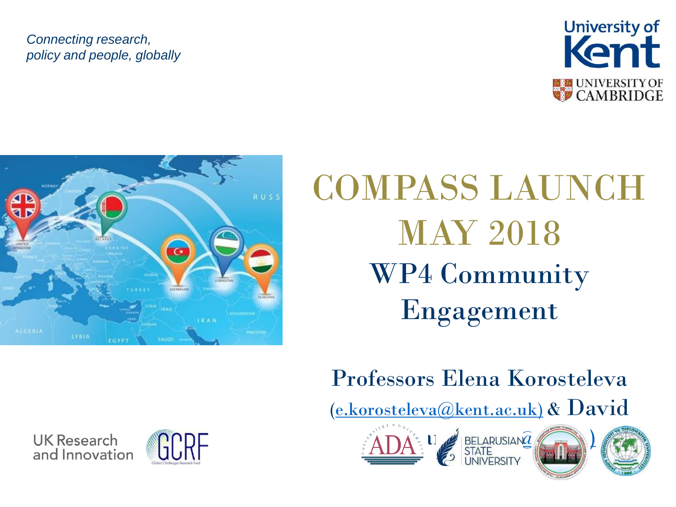#### *Connecting research, policy and people, globally*





### COMPASS LAUNCH MAY 2018 WP4 Community Engagement

#### Professors Elena Korosteleva

[\(e.korosteleva@kent.ac.uk\)](mailto:e.korosteleva@kent.ac.uk)) & David





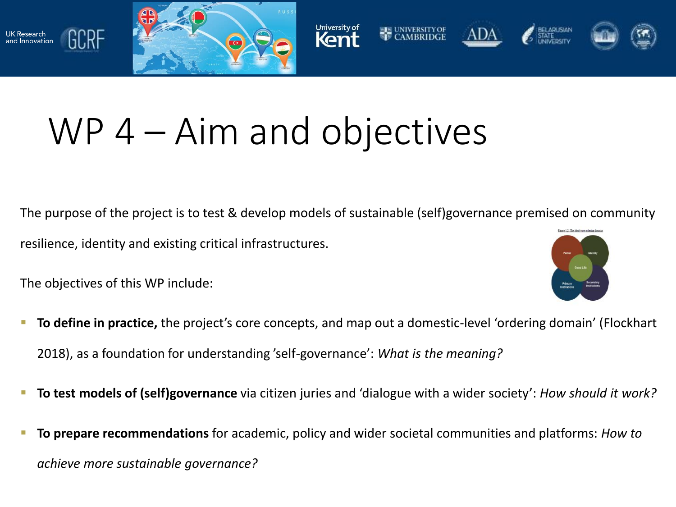



## WP 4 – Aim and objectives

The purpose of the project is to test & develop models of sustainable (self)governance premised on community Piege 1.2: The ideal-type ordering domain resilience, identity and existing critical infrastructures.

The objectives of this WP include:

K Research

and Innovation

GCRF



- **To define in practice,** the project's core concepts, and map out a domestic-level 'ordering domain' (Flockhart 2018), as a foundation for understanding 'self-governance': *What is the meaning?*
- **To test models of (self)governance** via citizen juries and 'dialogue with a wider society': *How should it work?*
- **To prepare recommendations** for academic, policy and wider societal communities and platforms: *How to achieve more sustainable governance?*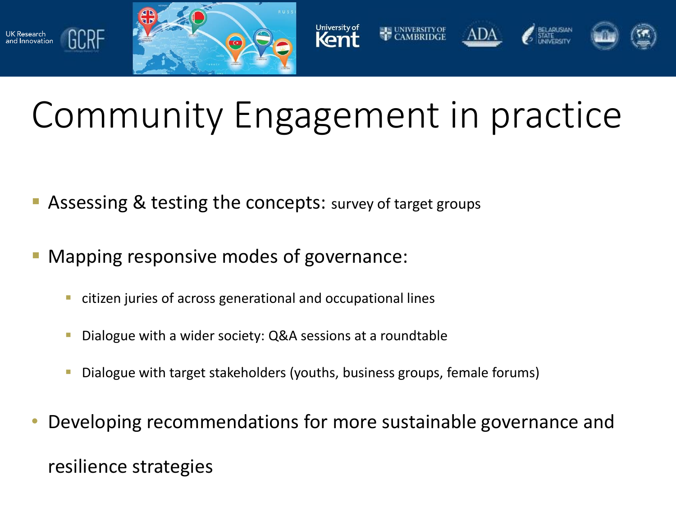

nellessaren<br>nd Innovation



# Community Engagement in practice

- Assessing & testing the concepts: survey of target groups
- Mapping responsive modes of governance:
	- citizen juries of across generational and occupational lines
	- Dialogue with a wider society: Q&A sessions at a roundtable
	- Dialogue with target stakeholders (youths, business groups, female forums)
- Developing recommendations for more sustainable governance and resilience strategies